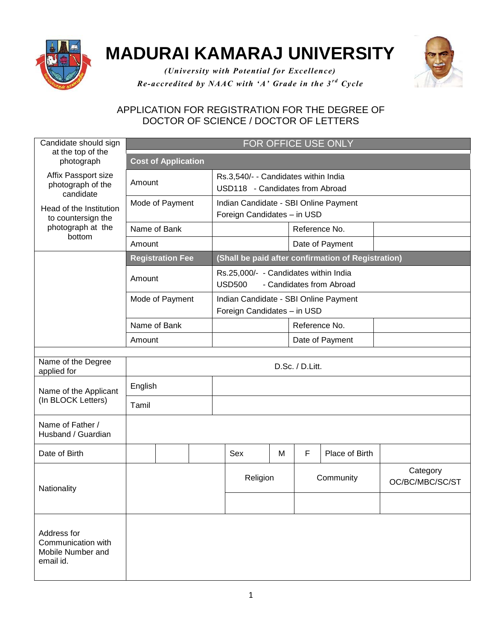

## **MADURAI KAMARAJ UNIVERSITY**



*(University with Potential for Excellence) Re-accredited by NAAC with 'A' Grade in the 3<sup>rd</sup> Cycle* 

## APPLICATION FOR REGISTRATION FOR THE DEGREE OF DOCTOR OF SCIENCE / DOCTOR OF LETTERS

| Candidate should sign                                                                                                                 | FOR OFFICE USE ONLY        |  |  |                                                                         |                                                                                    |                 |   |               |                |                             |  |  |
|---------------------------------------------------------------------------------------------------------------------------------------|----------------------------|--|--|-------------------------------------------------------------------------|------------------------------------------------------------------------------------|-----------------|---|---------------|----------------|-----------------------------|--|--|
| at the top of the<br>photograph                                                                                                       | <b>Cost of Application</b> |  |  |                                                                         |                                                                                    |                 |   |               |                |                             |  |  |
| Affix Passport size<br>photograph of the<br>candidate<br>Head of the Institution<br>to countersign the<br>photograph at the<br>bottom | Amount                     |  |  | Rs.3,540/- - Candidates within India<br>USD118 - Candidates from Abroad |                                                                                    |                 |   |               |                |                             |  |  |
|                                                                                                                                       | Mode of Payment            |  |  | Indian Candidate - SBI Online Payment<br>Foreign Candidates - in USD    |                                                                                    |                 |   |               |                |                             |  |  |
|                                                                                                                                       | Name of Bank               |  |  |                                                                         |                                                                                    |                 |   |               | Reference No.  |                             |  |  |
|                                                                                                                                       | Amount                     |  |  |                                                                         | Date of Payment                                                                    |                 |   |               |                |                             |  |  |
|                                                                                                                                       | <b>Registration Fee</b>    |  |  | (Shall be paid after confirmation of Registration)                      |                                                                                    |                 |   |               |                |                             |  |  |
|                                                                                                                                       | Amount                     |  |  |                                                                         | Rs.25,000/- - Candidates within India<br><b>USD500</b><br>- Candidates from Abroad |                 |   |               |                |                             |  |  |
|                                                                                                                                       | Mode of Payment            |  |  | Indian Candidate - SBI Online Payment<br>Foreign Candidates - in USD    |                                                                                    |                 |   |               |                |                             |  |  |
|                                                                                                                                       | Name of Bank               |  |  |                                                                         |                                                                                    |                 |   | Reference No. |                |                             |  |  |
|                                                                                                                                       | Amount                     |  |  |                                                                         |                                                                                    | Date of Payment |   |               |                |                             |  |  |
| Name of the Degree<br>applied for                                                                                                     | D.Sc. / D.Litt.            |  |  |                                                                         |                                                                                    |                 |   |               |                |                             |  |  |
| Name of the Applicant<br>(In BLOCK Letters)                                                                                           | English                    |  |  |                                                                         |                                                                                    |                 |   |               |                |                             |  |  |
|                                                                                                                                       | Tamil                      |  |  |                                                                         |                                                                                    |                 |   |               |                |                             |  |  |
| Name of Father /<br>Husband / Guardian                                                                                                |                            |  |  |                                                                         |                                                                                    |                 |   |               |                |                             |  |  |
| Date of Birth                                                                                                                         |                            |  |  |                                                                         | Sex                                                                                | M               | F |               | Place of Birth |                             |  |  |
| Nationality                                                                                                                           |                            |  |  |                                                                         | Religion                                                                           |                 |   | Community     |                | Category<br>OC/BC/MBC/SC/ST |  |  |
|                                                                                                                                       |                            |  |  |                                                                         |                                                                                    |                 |   |               |                |                             |  |  |
| Address for<br>Communication with<br>Mobile Number and<br>email id.                                                                   |                            |  |  |                                                                         |                                                                                    |                 |   |               |                |                             |  |  |